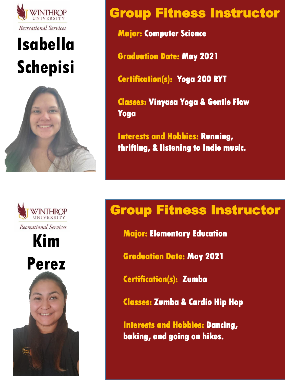

# **Isabella Schepisi**



**Kim** 

Recreational Services

VINTHROP

**Perez**

 $\curvearrowright$ 

#### Group Fitness Instructor

**Major: Computer Science**

**Graduation Date: May 2021**

**Certification(s): Yoga 200 RYT**

**Classes: Vinyasa Yoga & Gentle Flow Yoga**

**Interests and Hobbies: Running, thrifting, & listening to Indie music.**

### Group Fitness Instructor

**Major: Elementary Education**

**Graduation Date: May 2021**

**Certification(s): Zumba**

**Classes: Zumba & Cardio Hip Hop**

**Interests and Hobbies: Dancing, baking, and going on hikes.**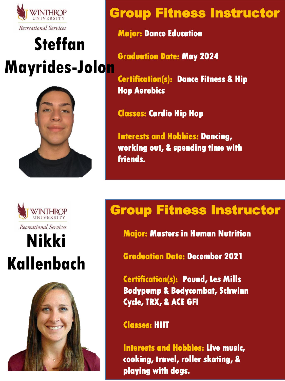

## **Steffan Mayrides-Jolon**





Recreational Services

## **Nikki Kallenbach**



#### Group Fitness Instructor

**Major: Dance Education**

**Graduation Date: May 2024**

**Certification(s): Dance Fitness & Hip Hop Aerobics** 

**Classes: Cardio Hip Hop**

**Interests and Hobbies: Dancing, working out, & spending time with friends.**

### Group Fitness Instructor

**Major: Masters in Human Nutrition**

**Graduation Date: December 2021**

**Certification(s): Pound, Les Mills Bodypump & Bodycombat, Schwinn Cycle, TRX, & ACE GFI**

**Classes: HIIT**

**Interests and Hobbies: Live music, cooking, travel, roller skating, & playing with dogs.**